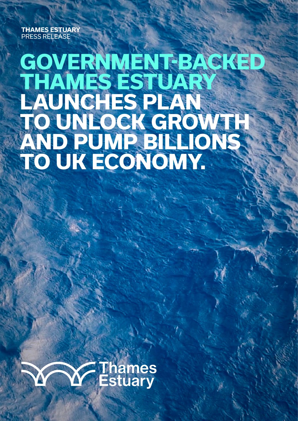**THAMES ESTUARY** PRESS RELEASE

# **GOVERNMENT-BACKED THAMES ESTUARY LAUNCHES PLAN TO UNLOCK GROWTH AND PUMP BILLIONS TO UK ECONOMY.**

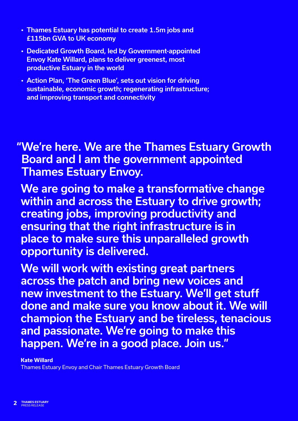- Thames Estuary has potential to create 1.5m jobs and £115bn GVA to UK economy
- Dedicated Growth Board, led by Government-appointed Envoy Kate Willard, plans to deliver greenest, most productive Estuary in the world
- Action Plan, 'The Green Blue', sets out vision for driving sustainable, economic growth; regenerating infrastructure; and improving transport and connectivity

# "We're here. We are the Thames Estuary Growth Board and I am the government appointed Thames Estuary Envoy.

We are going to make a transformative change within and across the Estuary to drive growth; creating jobs, improving productivity and ensuring that the right infrastructure is in place to make sure this unparalleled growth opportunity is delivered.

We will work with existing great partners across the patch and bring new voices and new investment to the Estuary. We'll get stuff done and make sure you know about it. We will champion the Estuary and be tireless, tenacious and passionate. We're going to make this happen. We're in a good place. Join us."

## **Kate Willard**

Thames Estuary Envoy and Chair Thames Estuary Growth Board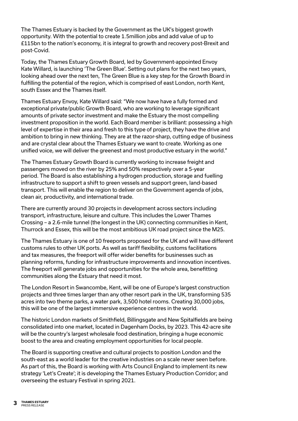The Thames Estuary is backed by the Government as the UK's biggest growth opportunity. With the potential to create 1.5million jobs and add value of up to £115bn to the nation's economy, it is integral to growth and recovery post-Brexit and post-Covid.

Today, the Thames Estuary Growth Board, led by Government-appointed Envoy Kate Willard, is launching 'The Green Blue'. Setting out plans for the next two years, looking ahead over the next ten, The Green Blue is a key step for the Growth Board in fulfilling the potential of the region, which is comprised of east London, north Kent, south Essex and the Thames itself.

Thames Estuary Envoy, Kate Willard said: "We now have have a fully formed and exceptional private/public Growth Board, who are working to leverage significant amounts of private sector investment and make the Estuary the most compelling investment proposition in the world. Each Board member is brilliant: possessing a high level of expertise in their area and fresh to this type of project, they have the drive and ambition to bring in new thinking. They are at the razor-sharp, cutting edge of business and are crystal clear about the Thames Estuary we want to create. Working as one unified voice, we will deliver the greenest and most productive estuary in the world."

The Thames Estuary Growth Board is currently working to increase freight and passengers moved on the river by 25% and 50% respectively over a 5-year period. The Board is also establishing a hydrogen production, storage and fuelling infrastructure to support a shift to green vessels and support green, land-based transport. This will enable the region to deliver on the Government agenda of jobs, clean air, productivity, and international trade.

There are currently around 30 projects in development across sectors including transport, infrastructure, leisure and culture. This includes the Lower Thames Crossing – a 2.6-mile tunnel (the longest in the UK) connecting communities in Kent, Thurrock and Essex, this will be the most ambitious UK road project since the M25.

The Thames Estuary is one of 10 freeports proposed for the UK and will have different customs rules to other UK ports. As well as tariff flexibility, customs facilitations and tax measures, the freeport will offer wider benefits for businesses such as planning reforms, funding for infrastructure improvements and innovation incentives. The freeport will generate jobs and opportunities for the whole area, benefitting communities along the Estuary that need it most.

The London Resort in Swancombe, Kent, will be one of Europe's largest construction projects and three times larger than any other resort park in the UK, transforming 535 acres into two theme parks, a water park, 3,500 hotel rooms. Creating 30,000 jobs, this will be one of the largest immersive experience centres in the world.

The historic London markets of Smithfield, Billingsgate and New Spitalfields are being consolidated into one market, located in Dagenham Docks, by 2023. This 42-acre site will be the country's largest wholesale food destination, bringing a huge economic boost to the area and creating employment opportunities for local people.

The Board is supporting creative and cultural projects to position London and the south-east as a world leader for the creative industries on a scale never seen before. As part of this, the Board is working with Arts Council England to implement its new strategy 'Let's Create'; it is developing the Thames Estuary Production Corridor; and overseeing the estuary Festival in spring 2021.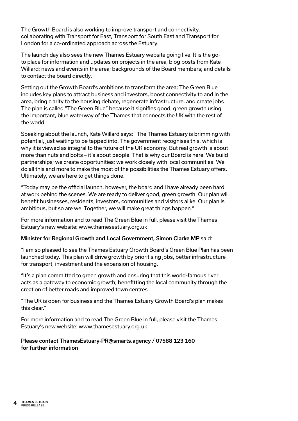The Growth Board is also working to improve transport and connectivity, collaborating with Transport for East, Transport for South East and Transport for London for a co-ordinated approach across the Estuary.

The launch day also sees the new Thames Estuary website going live. It is the goto place for information and updates on projects in the area; blog posts from Kate Willard; news and events in the area; backgrounds of the Board members; and details to contact the board directly.

Setting out the Growth Board's ambitions to transform the area; The Green Blue includes key plans to attract business and investors, boost connectivity to and in the area, bring clarity to the housing debate, regenerate infrastructure, and create jobs. The plan is called "The Green Blue" because it signifies good, green growth using the important, blue waterway of the Thames that connects the UK with the rest of the world.

Speaking about the launch, Kate Willard says: "The Thames Estuary is brimming with potential, just waiting to be tapped into. The government recognises this, which is why it is viewed as integral to the future of the UK economy. But real growth is about more than nuts and bolts – it's about people. That is why our Board is here. We build partnerships; we create opportunities; we work closely with local communities. We do all this and more to make the most of the possibilities the Thames Estuary offers. Ultimately, we are here to get things done.

"Today may be the official launch, however, the board and I have already been hard at work behind the scenes. We are ready to deliver good, green growth. Our plan will benefit businesses, residents, investors, communities and visitors alike. Our plan is ambitious, but so are we. Together, we will make great things happen."

For more information and to read The Green Blue in full, please visit the Thames Estuary's new website: [www.thamesestuary.org.uk](http://www.thamesestuary.org.uk)

#### Minister for Regional Growth and Local Government, Simon Clarke MP said:

"I am so pleased to see the Thames Estuary Growth Board's Green Blue Plan has been launched today. This plan will drive growth by prioritising jobs, better infrastructure for transport, investment and the expansion of housing.

"It's a plan committed to green growth and ensuring that this world-famous river acts as a gateway to economic growth, benefitting the local community through the creation of better roads and improved town centres.

"The UK is open for business and the Thames Estuary Growth Board's plan makes this clear."

For more information and to read The Green Blue in full, please visit the Thames Estuary's new website: www.thamesestuary.org.uk

### Please contact [ThamesEstuary-PR@smarts.agency](mailto:ThamesEstuary-PR%40smarts.agency?subject=) / 07588 123 160 for further information